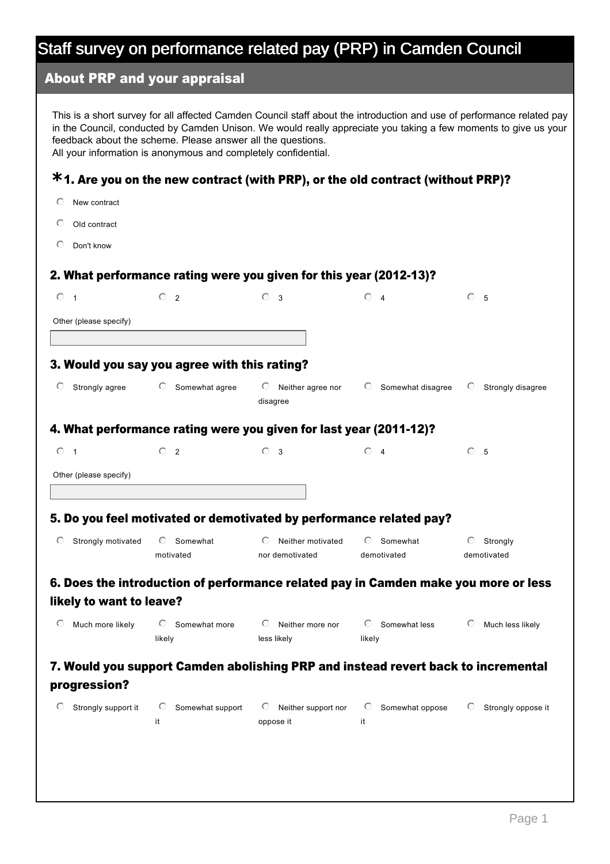## About PRP and your appraisal

This is a short survey for all affected Camden Council staff about the introduction and use of performance related pay in the Council, conducted by Camden Unison. We would really appreciate you taking a few moments to give us your feedback about the scheme. Please answer all the questions. All your information is anonymous and completely confidential.

# 1. Are you on the new contract (with PRP), or the old contract (without PRP)? **\***

- $O$  New contract
- $O$  Old contract
- $O$  Don't know

#### 2. What performance rating were you given for this year (2012-13)?

| $\circ$ 1                | $\circ$ 2                                    | $\circ$<br>$\overline{\mathbf{3}}$                                  | $\odot$ 4                                                                           | $\circ$<br>5                  |
|--------------------------|----------------------------------------------|---------------------------------------------------------------------|-------------------------------------------------------------------------------------|-------------------------------|
| Other (please specify)   |                                              |                                                                     |                                                                                     |                               |
|                          |                                              |                                                                     |                                                                                     |                               |
|                          | 3. Would you say you agree with this rating? |                                                                     |                                                                                     |                               |
| O<br>Strongly agree      | Somewhat agree<br>$\circ$                    | Neither agree nor<br>$\circ$<br>disagree                            | $\circ$ Somewhat disagree                                                           | $\circ$<br>Strongly disagree  |
|                          |                                              | 4. What performance rating were you given for last year (2011-12)?  |                                                                                     |                               |
| $\circ$ 1                | $\bigcirc$<br>$\overline{2}$                 | $\circ$ 3                                                           | $\odot$ 4                                                                           | C 5                           |
| Other (please specify)   |                                              |                                                                     |                                                                                     |                               |
|                          |                                              |                                                                     |                                                                                     |                               |
|                          |                                              | 5. Do you feel motivated or demotivated by performance related pay? |                                                                                     |                               |
| Strongly motivated<br>O  | Somewhat<br>$\circ$                          | Neither motivated<br>$\odot$                                        | Somewhat<br>$\circ$                                                                 | $\circ$ Strongly              |
|                          | motivated                                    | nor demotivated                                                     | demotivated                                                                         | demotivated                   |
|                          |                                              |                                                                     | 6. Does the introduction of performance related pay in Camden make you more or less |                               |
| likely to want to leave? |                                              |                                                                     |                                                                                     |                               |
| Much more likely<br>O    | Somewhat more<br>$\circ$                     | $\circ$<br>Neither more nor                                         | $\circ$ Somewhat less                                                               | Much less likely<br>O         |
|                          | likely                                       | less likely                                                         | likely                                                                              |                               |
|                          |                                              |                                                                     | 7. Would you support Camden abolishing PRP and instead revert back to incremental   |                               |
| progression?             |                                              |                                                                     |                                                                                     |                               |
| Strongly support it<br>O | Somewhat support<br>$\circ$                  | $\circ$ Neither support nor                                         | Somewhat oppose<br>$\circ$                                                          | Strongly oppose it<br>$\circ$ |
|                          | it                                           | oppose it                                                           | it                                                                                  |                               |
|                          |                                              |                                                                     |                                                                                     |                               |
|                          |                                              |                                                                     |                                                                                     |                               |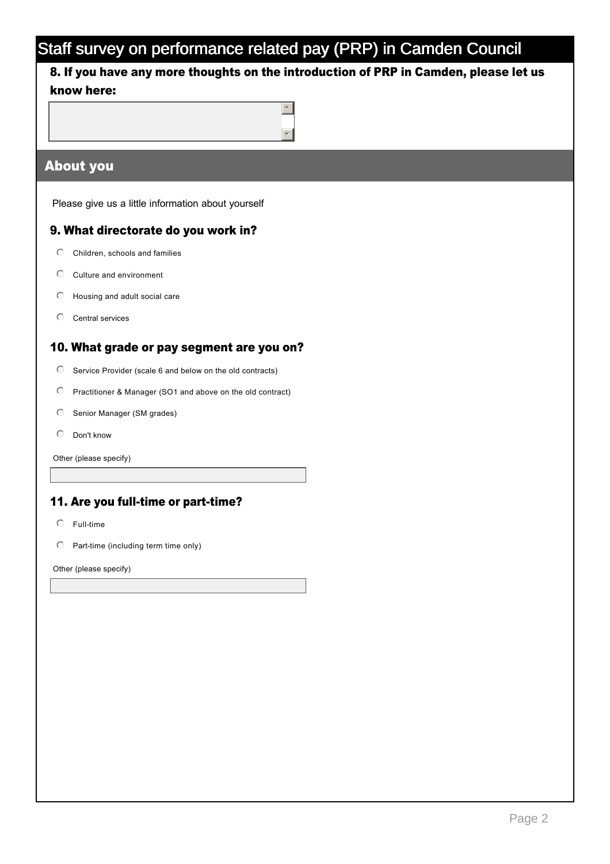## 8. If you have any more thoughts on the introduction of PRP in Camden, please let us know here:



## About you

Please give us a little information about yourself

#### 9. What directorate do you work in?

- $\mathbb O$  Children, schools and families
- $\mathbb O$  Culture and environment
- $\heartsuit$  Housing and adult social care
- $O$  Central services

#### 10. What grade or pay segment are you on?

- $\odot$  Service Provider (scale 6 and below on the old contracts)
- $\odot$  Practitioner & Manager (SO1 and above on the old contract)
- $\heartsuit$  Senior Manager (SM grades)
- $O$  Don't know

Other (please specify)

#### 11. Are you full-time or part-time?

- $O$  Full-time
- $\heartsuit$  Part-time (including term time only)

Other (please specify)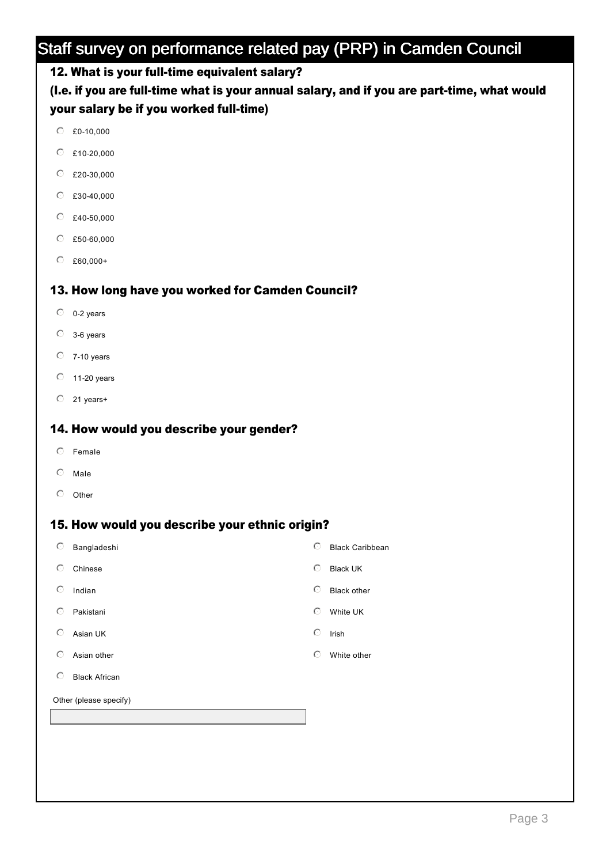## 12. What is your full-time equivalent salary?

(I.e. if you are full-time what is your annual salary, and if you are part-time, what would your salary be if you worked full-time)

- $C$  £0-10,000
- $C$  £10-20,000
- $C$  £20-30,000
- $C$  £30-40,000
- $C$  £40-50,000
- $C$  £50-60,000
- $C$  £60,000+

#### 13. How long have you worked for Camden Council?

- $0 2$  years
- $O$  3-6 years
- $O$  7-10 years
- $O$  11-20 years
- $O$  21 years+

## 14. How would you describe your gender?

- $O$  Female
- $O$  Male
- $O$  Other

#### 15. How would you describe your ethnic origin?

| $\circ$                | Bangladeshi          | ⊙ | <b>Black Caribbean</b> |  |
|------------------------|----------------------|---|------------------------|--|
| $\circ$                | Chinese              | O | <b>Black UK</b>        |  |
| $\circ$                | Indian               | ⊙ | <b>Black other</b>     |  |
| $\circ$                | Pakistani            | ⊙ | White UK               |  |
| ⊙                      | Asian UK             | ⊙ | Irish                  |  |
| ⊙                      | Asian other          | O | White other            |  |
| ⊙                      | <b>Black African</b> |   |                        |  |
| Other (please specify) |                      |   |                        |  |
|                        |                      |   |                        |  |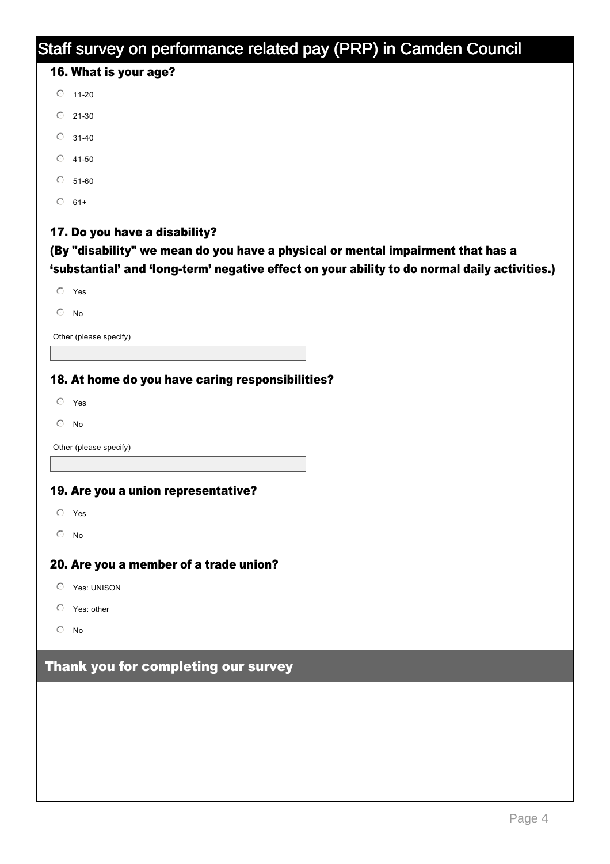# Staff survey on performance related pay (PRP) in Camden Council 16. What is your age? 17. Do you have a disability? (By "disability" we mean do you have a physical or mental impairment that has a 'substantial' and 'long-term' negative effect on your ability to do normal daily activities.) 18. At home do you have caring responsibilities? 19. Are you a union representative? 20. Are you a member of a trade union? Thank you for completing our survey  $O$  11-20  $O$  21-30  $\degree$  31-40  $O$  41-50  $\degree$  51-60  $\degree$  61+  $O$  Yes  $\circ$  No Other (please specify)  $O$  Yes  $\circ$  No Other (please specify)  $O$  Yes  $\odot$  No  $O$  Yes: UNISON  $O$  Yes: other  $\odot$  No